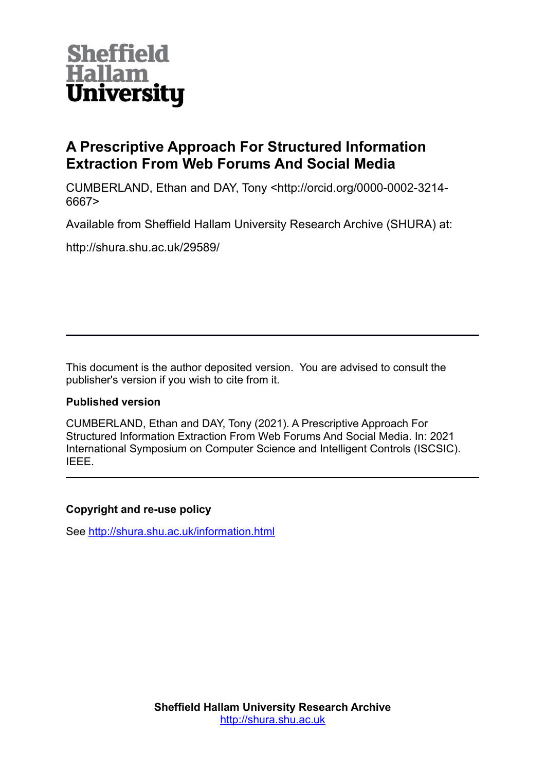

# **A Prescriptive Approach For Structured Information Extraction From Web Forums And Social Media**

CUMBERLAND, Ethan and DAY, Tony <http://orcid.org/0000-0002-3214- 6667>

Available from Sheffield Hallam University Research Archive (SHURA) at:

http://shura.shu.ac.uk/29589/

This document is the author deposited version. You are advised to consult the publisher's version if you wish to cite from it.

## **Published version**

CUMBERLAND, Ethan and DAY, Tony (2021). A Prescriptive Approach For Structured Information Extraction From Web Forums And Social Media. In: 2021 International Symposium on Computer Science and Intelligent Controls (ISCSIC). IEEE.

## **Copyright and re-use policy**

See<http://shura.shu.ac.uk/information.html>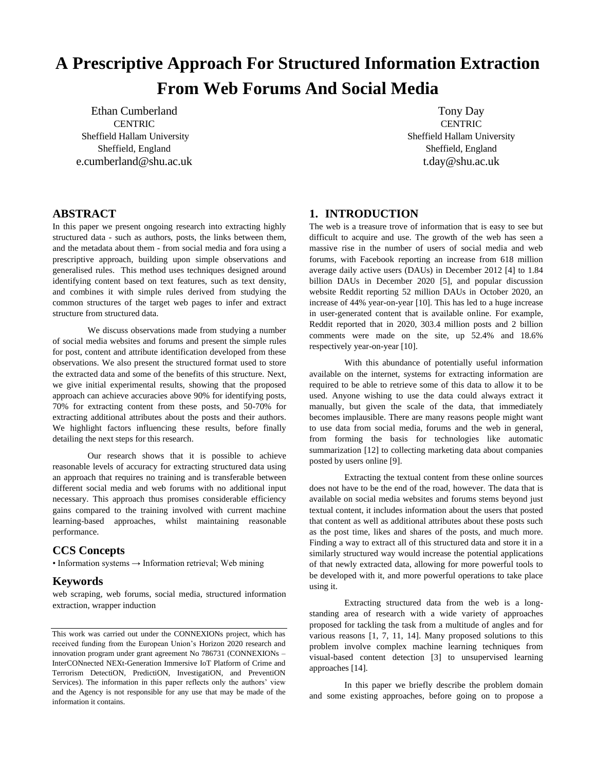# **A Prescriptive Approach For Structured Information Extraction From Web Forums And Social Media**

Ethan Cumberland **CENTRIC** Sheffield Hallam University Sheffield, England e.cumberland@shu.ac.uk

Tony Day **CENTRIC** Sheffield Hallam University Sheffield, England t.day@shu.ac.uk

## **ABSTRACT**

In this paper we present ongoing research into extracting highly structured data - such as authors, posts, the links between them, and the metadata about them - from social media and fora using a prescriptive approach, building upon simple observations and generalised rules. This method uses techniques designed around identifying content based on text features, such as text density, and combines it with simple rules derived from studying the common structures of the target web pages to infer and extract structure from structured data.

We discuss observations made from studying a number of social media websites and forums and present the simple rules for post, content and attribute identification developed from these observations. We also present the structured format used to store the extracted data and some of the benefits of this structure. Next, we give initial experimental results, showing that the proposed approach can achieve accuracies above 90% for identifying posts, 70% for extracting content from these posts, and 50-70% for extracting additional attributes about the posts and their authors. We highlight factors influencing these results, before finally detailing the next steps for this research.

Our research shows that it is possible to achieve reasonable levels of accuracy for extracting structured data using an approach that requires no training and is transferable between different social media and web forums with no additional input necessary. This approach thus promises considerable efficiency gains compared to the training involved with current machine learning-based approaches, whilst maintaining reasonable performance.

## **CCS Concepts**

• Information systems  $\rightarrow$  Information retrieval; Web mining

### **Keywords**

web scraping, web forums, social media, structured information extraction, wrapper induction

## **1. INTRODUCTION**

The web is a treasure trove of information that is easy to see but difficult to acquire and use. The growth of the web has seen a massive rise in the number of users of social media and web forums, with Facebook reporting an increase from 618 million average daily active users (DAUs) in December 2012 [4] to 1.84 billion DAUs in December 2020 [5], and popular discussion website Reddit reporting 52 million DAUs in October 2020, an increase of 44% year-on-year [10]. This has led to a huge increase in user-generated content that is available online. For example, Reddit reported that in 2020, 303.4 million posts and 2 billion comments were made on the site, up 52.4% and 18.6% respectively year-on-year [10].

With this abundance of potentially useful information available on the internet, systems for extracting information are required to be able to retrieve some of this data to allow it to be used. Anyone wishing to use the data could always extract it manually, but given the scale of the data, that immediately becomes implausible. There are many reasons people might want to use data from social media, forums and the web in general, from forming the basis for technologies like automatic summarization [12] to collecting marketing data about companies posted by users online [9].

Extracting the textual content from these online sources does not have to be the end of the road, however. The data that is available on social media websites and forums stems beyond just textual content, it includes information about the users that posted that content as well as additional attributes about these posts such as the post time, likes and shares of the posts, and much more. Finding a way to extract all of this structured data and store it in a similarly structured way would increase the potential applications of that newly extracted data, allowing for more powerful tools to be developed with it, and more powerful operations to take place using it.

Extracting structured data from the web is a longstanding area of research with a wide variety of approaches proposed for tackling the task from a multitude of angles and for various reasons [1, 7, 11, 14]. Many proposed solutions to this problem involve complex machine learning techniques from visual-based content detection [3] to unsupervised learning approaches [14].

In this paper we briefly describe the problem domain and some existing approaches, before going on to propose a

This work was carried out under the CONNEXIONs project, which has received funding from the European Union's Horizon 2020 research and innovation program under grant agreement No 786731 (CONNEXIONs – InterCONnected NEXt-Generation Immersive IoT Platform of Crime and Terrorism DetectiON, PredictiON, InvestigatiON, and PreventiON Services). The information in this paper reflects only the authors' view and the Agency is not responsible for any use that may be made of the information it contains.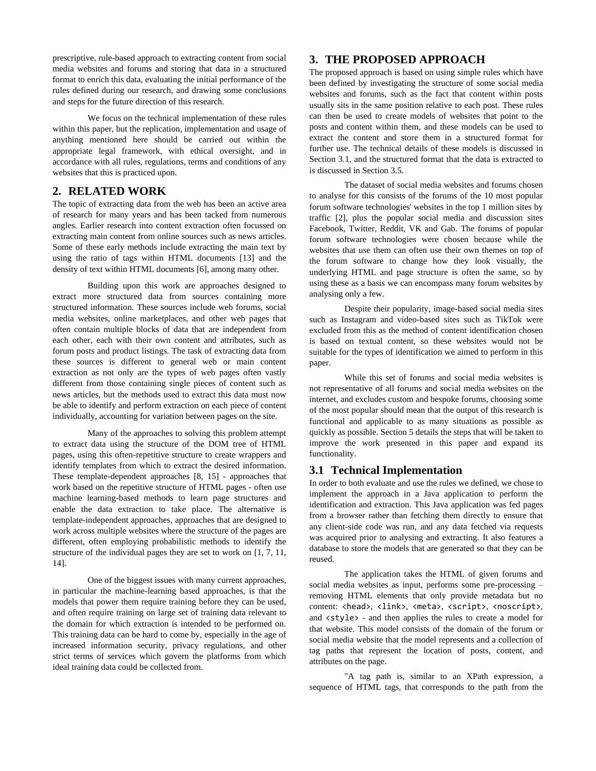prescriptive, rule-based approach to extracting content from social media websites and forums and storing that data in a structured format to enrich this data, evaluating the initial performance of the rules defined during our research, and drawing some conclusions and steps for the future direction of this research.

We focus on the technical implementation of these rules within this paper, but the replication, implementation and usage of anything mentioned here should be carried out within the appropriate legal framework, with ethical oversight, and in accordance with all rules, regulations, terms and conditions of any websites that this is practiced upon.

## **2. RELATED WORK**

The topic of extracting data from the web has been an active area of research for many years and has been tacked from numerous angles. Earlier research into content extraction often focussed on extracting main content from online sources such as news articles. Some of these early methods include extracting the main text by using the ratio of tags within HTML documents [13] and the density of text within HTML documents [6], among many other.

Building upon this work are approaches designed to extract more structured data from sources containing more structured information. These sources include web forums, social media websites, online marketplaces, and other web pages that often contain multiple blocks of data that are independent from each other, each with their own content and attributes, such as forum posts and product listings. The task of extracting data from these sources is different to general web or main content extraction as not only are the types of web pages often vastly different from those containing single pieces of content such as news articles, but the methods used to extract this data must now be able to identify and perform extraction on each piece of content individually, accounting for variation between pages on the site.

Many of the approaches to solving this problem attempt to extract data using the structure of the DOM tree of HTML pages, using this often-repetitive structure to create wrappers and identify templates from which to extract the desired information. These template-dependent approaches [8, 15] - approaches that work based on the repetitive structure of HTML pages - often use machine learning-based methods to learn page structures and enable the data extraction to take place. The alternative is template-independent approaches, approaches that are designed to work across multiple websites where the structure of the pages are different, often employing probabilistic methods to identify the structure of the individual pages they are set to work on [1, 7, 11, 14].

One of the biggest issues with many current approaches, in particular the machine-learning based approaches, is that the models that power them require training before they can be used, and often require training on large set of training data relevant to the domain for which extraction is intended to be performed on. This training data can be hard to come by, especially in the age of increased information security, privacy regulations, and other strict terms of services which govern the platforms from which ideal training data could be collected from.

## **3. THE PROPOSED APPROACH**

The proposed approach is based on using simple rules which have been defined by investigating the structure of some social media websites and forums, such as the fact that content within posts usually sits in the same position relative to each post. These rules can then be used to create models of websites that point to the posts and content within them, and these models can be used to extract the content and store them in a structured format for further use. The technical details of these models is discussed in Section 3.1, and the structured format that the data is extracted to is discussed in Section 3.5.

The dataset of social media websites and forums chosen to analyse for this consists of the forums of the 10 most popular forum software technologies' websites in the top 1 million sites by traffic [2], plus the popular social media and discussion sites Facebook, Twitter, Reddit, VK and Gab. The forums of popular forum software technologies were chosen because while the websites that use them can often use their own themes on top of the forum software to change how they look visually, the underlying HTML and page structure is often the same, so by using these as a basis we can encompass many forum websites by analysing only a few.

Despite their popularity, image-based social media sites such as Instagram and video-based sites such as TikTok were excluded from this as the method of content identification chosen is based on textual content, so these websites would not be suitable for the types of identification we aimed to perform in this paper.

While this set of forums and social media websites is not representative of all forums and social media websites on the internet, and excludes custom and bespoke forums, choosing some of the most popular should mean that the output of this research is functional and applicable to as many situations as possible as quickly as possible. Section 5 details the steps that will be taken to improve the work presented in this paper and expand its functionality.

## **3.1 Technical Implementation**

In order to both evaluate and use the rules we defined, we chose to implement the approach in a Java application to perform the identification and extraction. This Java application was fed pages from a browser rather than fetching them directly to ensure that any client-side code was run, and any data fetched via requests was acquired prior to analysing and extracting. It also features a database to store the models that are generated so that they can be reused.

The application takes the HTML of given forums and social media websites as input, performs some pre-processing – removing HTML elements that only provide metadata but no content: <head>, <link>, <meta>, <script>, <noscript>, and  $\langle$ style> - and then applies the rules to create a model for that website. This model consists of the domain of the forum or social media website that the model represents and a collection of tag paths that represent the location of posts, content, and attributes on the page.

"A tag path is, similar to an XPath expression, a sequence of HTML tags, that corresponds to the path from the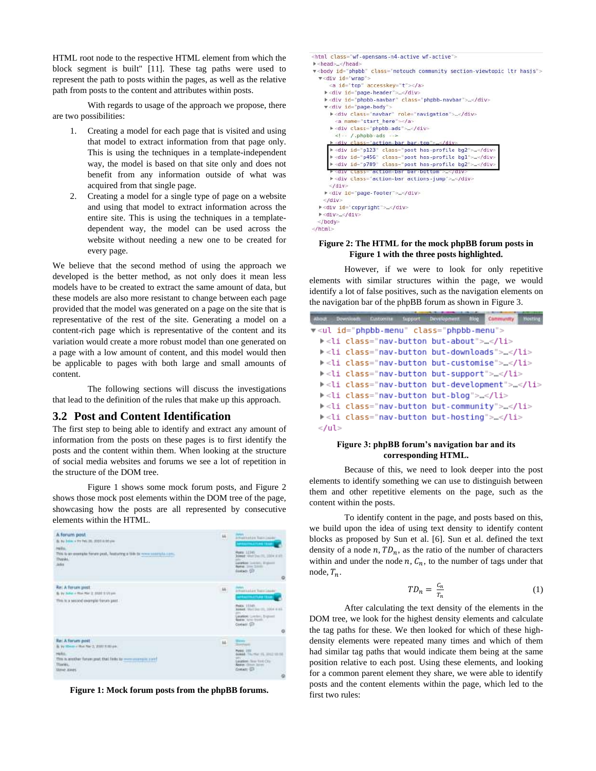HTML root node to the respective HTML element from which the block segment is built" [11]. These tag paths were used to represent the path to posts within the pages, as well as the relative path from posts to the content and attributes within posts.

With regards to usage of the approach we propose, there are two possibilities:

- 1. Creating a model for each page that is visited and using that model to extract information from that page only. This is using the techniques in a template-independent way, the model is based on that site only and does not benefit from any information outside of what was acquired from that single page.
- 2. Creating a model for a single type of page on a website and using that model to extract information across the entire site. This is using the techniques in a templatedependent way, the model can be used across the website without needing a new one to be created for every page.

We believe that the second method of using the approach we developed is the better method, as not only does it mean less models have to be created to extract the same amount of data, but these models are also more resistant to change between each page provided that the model was generated on a page on the site that is representative of the rest of the site. Generating a model on a content-rich page which is representative of the content and its variation would create a more robust model than one generated on a page with a low amount of content, and this model would then be applicable to pages with both large and small amounts of content.

The following sections will discuss the investigations that lead to the definition of the rules that make up this approach.

#### **3.2 Post and Content Identification**

The first step to being able to identify and extract any amount of information from the posts on these pages is to first identify the posts and the content within them. When looking at the structure of social media websites and forums we see a lot of repetition in the structure of the DOM tree.

Figure 1 shows some mock forum posts, and Figure 2 shows those mock post elements within the DOM tree of the page, showcasing how the posts are all represented by consecutive elements within the HTML.



**Figure 1: Mock forum posts from the phpBB forums.**

<html class="wf-opensans-n4-active wf-active"> > <head>...</head> v<body id="phpbb" class="notouch community section-viewtopic ltr hasjs"> v<div id="wrap"> <a id="top" accesskey="t"></a> ><div id="page-header"> </div> ><div id="phpbb-navbar" class="phpbb-navbar"> .</div> v<div id="page-body"> ><div class="navbar" role="navigation"> ...</div> <a name="start here"></a> ▶<div class="phpbb-ads"> ~</div> <!-- /.phpbb-ads --> ><div class="action-bar\_bar-top">  $<$ /div > <div id="p123" class="post has-profile bg2">...</div> ><div id="p456" class="post has-profile bgl">=</div> > <div id="p789" class="post has-profile bg2">...</div>  $\frac{1}{6}$  ass="action-bar bar-bottom"> </div  $2810$ ><div class="action-bar actions-jump">...</div>  $\frac{1}{\sqrt{1 + \frac{1}{2}}\sqrt{1 + \frac{1}{2}}}$ > <div id="page-footer"> .</div>  $<$ /div> ►<div id="copyright"> </div>  $\blacktriangleright$  <div> </div> </body> </html>

#### **Figure 2: The HTML for the mock phpBB forum posts in Figure 1 with the three posts highlighted.**

However, if we were to look for only repetitive elements with similar structures within the page, we would identify a lot of false positives, such as the navigation elements on the navigation bar of the phpBB forum as shown in Figure 3.

| <b>ABOUT</b> | Downloads | Castonian : | <b>Support</b> | Development.                                                                | nice <sub>-</sub> | Community | Hosting |
|--------------|-----------|-------------|----------------|-----------------------------------------------------------------------------|-------------------|-----------|---------|
|              |           |             |                | v <ul class="phpbb-menu" id="phpbb-menu"></ul>                              |                   |           |         |
|              |           |             |                | k <li class="nav-button but-about"></li> </th <th></th> <th></th> <th></th> |                   |           |         |
|              |           |             |                | k <li class="nav-button but-downloads">…</li> <                             |                   |           |         |
|              |           |             |                | k <li class="nav-button but-customise">…</li> <                             |                   |           |         |
|              |           |             |                | k <li class="nav-button but-support">…</li> →                               |                   |           |         |
|              |           |             |                | k <li class="nav-button but-development">…</li> <                           |                   |           |         |
|              |           |             |                | k <li class="nav-button but-blog">…</li> <                                  |                   |           |         |
|              |           |             |                | k <li class="nav-button but-community">…</li> →                             |                   |           |         |
|              |           |             |                | k <li class="nav-button but-hosting">…</li> <                               |                   |           |         |
| $<$ /ul>     |           |             |                |                                                                             |                   |           |         |

#### **Figure 3: phpBB forum's navigation bar and its corresponding HTML.**

Because of this, we need to look deeper into the post elements to identify something we can use to distinguish between them and other repetitive elements on the page, such as the content within the posts.

To identify content in the page, and posts based on this, we build upon the idea of using text density to identify content blocks as proposed by Sun et al. [6]. Sun et al. defined the text density of a node  $n$ ,  $TD_n$ , as the ratio of the number of characters within and under the node  $n, C_n$ , to the number of tags under that node,  $T_n$ .

$$
TD_n = \frac{c_n}{T_n} \tag{1}
$$

After calculating the text density of the elements in the DOM tree, we look for the highest density elements and calculate the tag paths for these. We then looked for which of these highdensity elements were repeated many times and which of them had similar tag paths that would indicate them being at the same position relative to each post. Using these elements, and looking for a common parent element they share, we were able to identify posts and the content elements within the page, which led to the first two rules: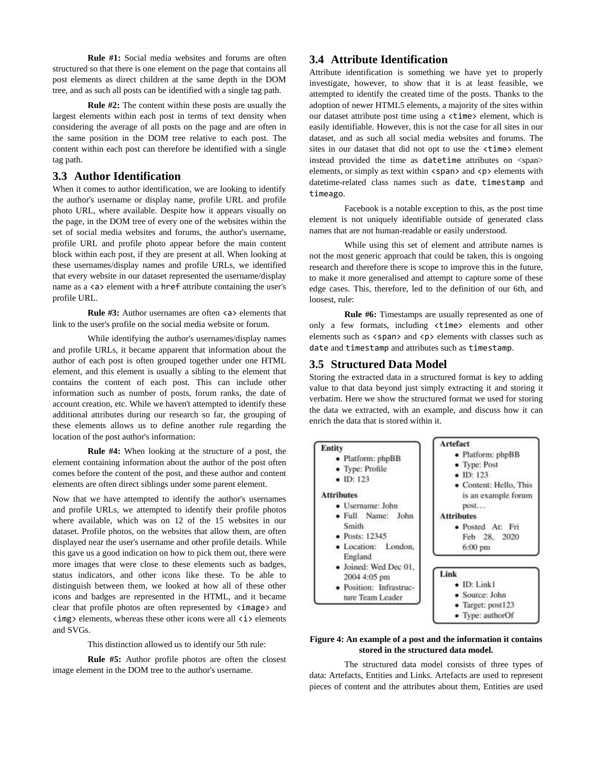**Rule #1:** Social media websites and forums are often structured so that there is one element on the page that contains all post elements as direct children at the same depth in the DOM tree, and as such all posts can be identified with a single tag path.

**Rule #2:** The content within these posts are usually the largest elements within each post in terms of text density when considering the average of all posts on the page and are often in the same position in the DOM tree relative to each post. The content within each post can therefore be identified with a single tag path.

## **3.3 Author Identification**

When it comes to author identification, we are looking to identify the author's username or display name, profile URL and profile photo URL, where available. Despite how it appears visually on the page, in the DOM tree of every one of the websites within the set of social media websites and forums, the author's username, profile URL and profile photo appear before the main content block within each post, if they are present at all. When looking at these usernames/display names and profile URLs, we identified that every website in our dataset represented the username/display name as a  $\langle a \rangle$  element with a href attribute containing the user's profile URL.

**Rule #3:** Author usernames are often  $\langle a \rangle$  elements that link to the user's profile on the social media website or forum.

While identifying the author's usernames/display names and profile URLs, it became apparent that information about the author of each post is often grouped together under one HTML element, and this element is usually a sibling to the element that contains the content of each post. This can include other information such as number of posts, forum ranks, the date of account creation, etc. While we haven't attempted to identify these additional attributes during our research so far, the grouping of these elements allows us to define another rule regarding the location of the post author's information:

**Rule #4:** When looking at the structure of a post, the element containing information about the author of the post often comes before the content of the post, and these author and content elements are often direct siblings under some parent element.

Now that we have attempted to identify the author's usernames and profile URLs, we attempted to identify their profile photos where available, which was on 12 of the 15 websites in our dataset. Profile photos, on the websites that allow them, are often displayed near the user's username and other profile details. While this gave us a good indication on how to pick them out, there were more images that were close to these elements such as badges, status indicators, and other icons like these. To be able to distinguish between them, we looked at how all of these other icons and badges are represented in the HTML, and it became clear that profile photos are often represented by  $\langle$ image> and  $\langle \text{img} \rangle$  elements, whereas these other icons were all  $\langle \text{ i} \rangle$  elements and SVGs.

This distinction allowed us to identify our 5th rule:

**Rule #5:** Author profile photos are often the closest image element in the DOM tree to the author's username.

## **3.4 Attribute Identification**

Attribute identification is something we have yet to properly investigate, however, to show that it is at least feasible, we attempted to identify the created time of the posts. Thanks to the adoption of newer HTML5 elements, a majority of the sites within our dataset attribute post time using a <time> element, which is easily identifiable. However, this is not the case for all sites in our dataset, and as such all social media websites and forums. The sites in our dataset that did not opt to use the <time> element instead provided the time as datetime attributes on <span> elements, or simply as text within <span> and <p> elements with datetime-related class names such as date, timestamp and timeago.

Facebook is a notable exception to this, as the post time element is not uniquely identifiable outside of generated class names that are not human-readable or easily understood.

While using this set of element and attribute names is not the most generic approach that could be taken, this is ongoing research and therefore there is scope to improve this in the future, to make it more generalised and attempt to capture some of these edge cases. This, therefore, led to the definition of our 6th, and loosest, rule:

**Rule #6:** Timestamps are usually represented as one of only a few formats, including <time> elements and other elements such as  $\langle$  span> and  $\langle$  p> elements with classes such as date and timestamp and attributes such as timestamp.

## **3.5 Structured Data Model**

Storing the extracted data in a structured format is key to adding value to that data beyond just simply extracting it and storing it verbatim. Here we show the structured format we used for storing the data we extracted, with an example, and discuss how it can enrich the data that is stored within it.



#### **Figure 4: An example of a post and the information it contains stored in the structured data model.**

The structured data model consists of three types of data: Artefacts, Entities and Links. Artefacts are used to represent pieces of content and the attributes about them, Entities are used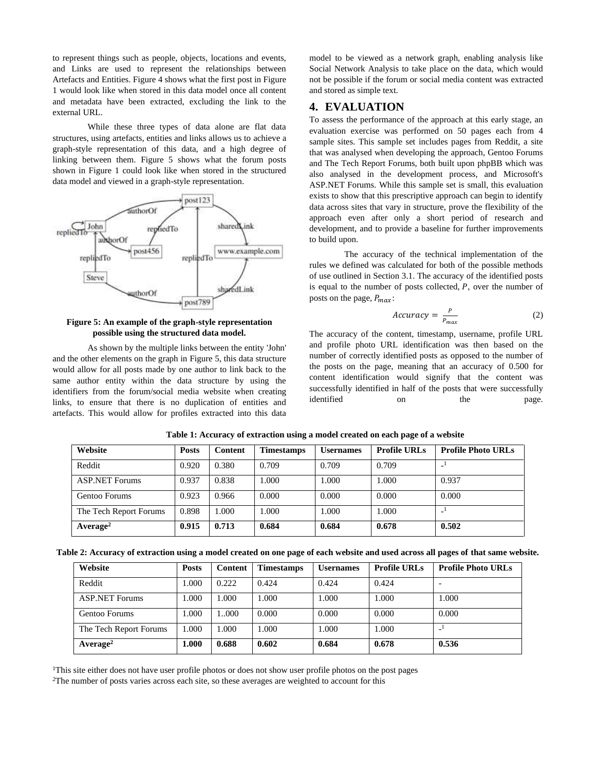to represent things such as people, objects, locations and events, and Links are used to represent the relationships between Artefacts and Entities. Figure 4 shows what the first post in Figure 1 would look like when stored in this data model once all content and metadata have been extracted, excluding the link to the external URL.

While these three types of data alone are flat data structures, using artefacts, entities and links allows us to achieve a graph-style representation of this data, and a high degree of linking between them. Figure 5 shows what the forum posts shown in Figure 1 could look like when stored in the structured data model and viewed in a graph-style representation.



**Figure 5: An example of the graph-style representation possible using the structured data model.**

As shown by the multiple links between the entity 'John' and the other elements on the graph in Figure 5, this data structure would allow for all posts made by one author to link back to the same author entity within the data structure by using the identifiers from the forum/social media website when creating links, to ensure that there is no duplication of entities and artefacts. This would allow for profiles extracted into this data model to be viewed as a network graph, enabling analysis like Social Network Analysis to take place on the data, which would not be possible if the forum or social media content was extracted and stored as simple text.

## **4. EVALUATION**

To assess the performance of the approach at this early stage, an evaluation exercise was performed on 50 pages each from 4 sample sites. This sample set includes pages from Reddit, a site that was analysed when developing the approach, Gentoo Forums and The Tech Report Forums, both built upon phpBB which was also analysed in the development process, and Microsoft's ASP.NET Forums. While this sample set is small, this evaluation exists to show that this prescriptive approach can begin to identify data across sites that vary in structure, prove the flexibility of the approach even after only a short period of research and development, and to provide a baseline for further improvements to build upon.

The accuracy of the technical implementation of the rules we defined was calculated for both of the possible methods of use outlined in Section 3.1. The accuracy of the identified posts is equal to the number of posts collected,  $P$ , over the number of posts on the page,  $P_{max}$ :

$$
Accuracy = \frac{P}{P_{max}} \tag{2}
$$

The accuracy of the content, timestamp, username, profile URL and profile photo URL identification was then based on the number of correctly identified posts as opposed to the number of the posts on the page, meaning that an accuracy of 0.500 for content identification would signify that the content was successfully identified in half of the posts that were successfully identified on the page.

| Website                | <b>Posts</b> | Content | <b>Timestamps</b> | <b>Usernames</b> | <b>Profile URLs</b> | <b>Profile Photo URLs</b> |  |
|------------------------|--------------|---------|-------------------|------------------|---------------------|---------------------------|--|
| Reddit                 | 0.920        | 0.380   | 0.709             | 0.709            | 0.709               |                           |  |
| <b>ASP.NET Forums</b>  | 0.937        | 0.838   | 1.000             | 1.000            | .000.               | 0.937                     |  |
| Gentoo Forums          | 0.923        | 0.966   | 0.000             | 0.000            | 0.000               | 0.000                     |  |
| The Tech Report Forums | 0.898        | 1.000   | 1.000             | 1.000            | .000                |                           |  |
| Average <sup>2</sup>   | 0.915        | 0.713   | 0.684             | 0.684            | 0.678               | 0.502                     |  |

**Table 1: Accuracy of extraction using a model created on each page of a website**

|  |  |  | Table 2: Accuracy of extraction using a model created on one page of each website and used across all pages of that same website. |  |  |  |  |
|--|--|--|-----------------------------------------------------------------------------------------------------------------------------------|--|--|--|--|
|  |  |  |                                                                                                                                   |  |  |  |  |

| Website                | <b>Posts</b> | Content | <b>Timestamps</b> | <b>Usernames</b> | <b>Profile URLs</b> | <b>Profile Photo URLs</b> |  |
|------------------------|--------------|---------|-------------------|------------------|---------------------|---------------------------|--|
| Reddit                 | 1.000        | 0.222   | 0.424             | 0.424            | 0.424               |                           |  |
| <b>ASP.NET Forums</b>  | 1.000        | .000.   | 1.000             | 1.000            | .000                | 1.000                     |  |
| Gentoo Forums          | 1.000        | 000     | 0.000             | 0.000            | 0.000               | 0.000                     |  |
| The Tech Report Forums | 1.000        | .000.   | 1.000             | 1.000            | 000.1               |                           |  |
| Average <sup>2</sup>   | 1.000        | 0.688   | 0.602             | 0.684            | 0.678               | 0.536                     |  |

<sup>1</sup>This site either does not have user profile photos or does not show user profile photos on the post pages

<sup>2</sup>The number of posts varies across each site, so these averages are weighted to account for this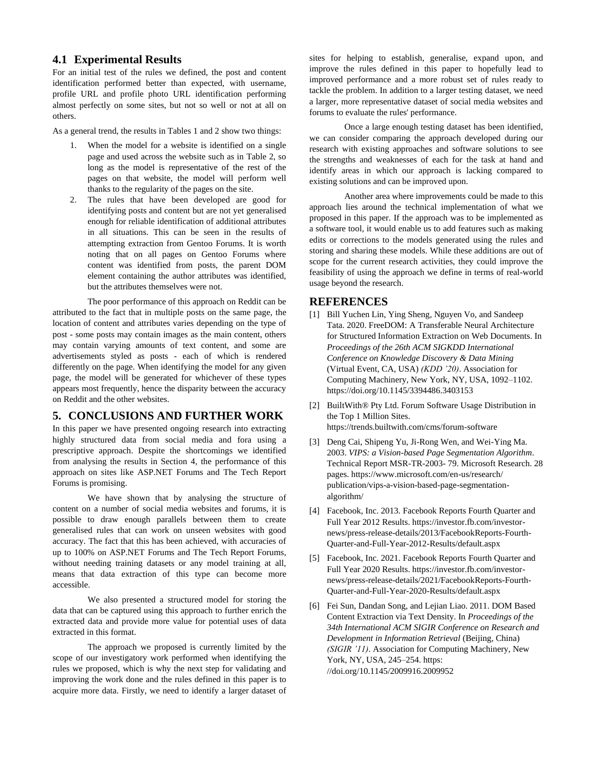## **4.1 Experimental Results**

For an initial test of the rules we defined, the post and content identification performed better than expected, with username, profile URL and profile photo URL identification performing almost perfectly on some sites, but not so well or not at all on others.

As a general trend, the results in Tables 1 and 2 show two things:

- 1. When the model for a website is identified on a single page and used across the website such as in Table 2, so long as the model is representative of the rest of the pages on that website, the model will perform well thanks to the regularity of the pages on the site.
- 2. The rules that have been developed are good for identifying posts and content but are not yet generalised enough for reliable identification of additional attributes in all situations. This can be seen in the results of attempting extraction from Gentoo Forums. It is worth noting that on all pages on Gentoo Forums where content was identified from posts, the parent DOM element containing the author attributes was identified, but the attributes themselves were not.

The poor performance of this approach on Reddit can be attributed to the fact that in multiple posts on the same page, the location of content and attributes varies depending on the type of post - some posts may contain images as the main content, others may contain varying amounts of text content, and some are advertisements styled as posts - each of which is rendered differently on the page. When identifying the model for any given page, the model will be generated for whichever of these types appears most frequently, hence the disparity between the accuracy on Reddit and the other websites.

## **5. CONCLUSIONS AND FURTHER WORK**

In this paper we have presented ongoing research into extracting highly structured data from social media and fora using a prescriptive approach. Despite the shortcomings we identified from analysing the results in Section 4, the performance of this approach on sites like ASP.NET Forums and The Tech Report Forums is promising.

We have shown that by analysing the structure of content on a number of social media websites and forums, it is possible to draw enough parallels between them to create generalised rules that can work on unseen websites with good accuracy. The fact that this has been achieved, with accuracies of up to 100% on ASP.NET Forums and The Tech Report Forums, without needing training datasets or any model training at all, means that data extraction of this type can become more accessible.

We also presented a structured model for storing the data that can be captured using this approach to further enrich the extracted data and provide more value for potential uses of data extracted in this format.

The approach we proposed is currently limited by the scope of our investigatory work performed when identifying the rules we proposed, which is why the next step for validating and improving the work done and the rules defined in this paper is to acquire more data. Firstly, we need to identify a larger dataset of

sites for helping to establish, generalise, expand upon, and improve the rules defined in this paper to hopefully lead to improved performance and a more robust set of rules ready to tackle the problem. In addition to a larger testing dataset, we need a larger, more representative dataset of social media websites and forums to evaluate the rules' performance.

Once a large enough testing dataset has been identified, we can consider comparing the approach developed during our research with existing approaches and software solutions to see the strengths and weaknesses of each for the task at hand and identify areas in which our approach is lacking compared to existing solutions and can be improved upon.

Another area where improvements could be made to this approach lies around the technical implementation of what we proposed in this paper. If the approach was to be implemented as a software tool, it would enable us to add features such as making edits or corrections to the models generated using the rules and storing and sharing these models. While these additions are out of scope for the current research activities, they could improve the feasibility of using the approach we define in terms of real-world usage beyond the research.

## **REFERENCES**

- [1] Bill Yuchen Lin, Ying Sheng, Nguyen Vo, and Sandeep Tata. 2020. FreeDOM: A Transferable Neural Architecture for Structured Information Extraction on Web Documents. In *Proceedings of the 26th ACM SIGKDD International Conference on Knowledge Discovery & Data Mining* (Virtual Event, CA, USA) *(KDD '20)*. Association for Computing Machinery, New York, NY, USA, 1092–1102. https://doi.org/10.1145/3394486.3403153
- [2] BuiltWith® Pty Ltd. Forum Software Usage Distribution in the Top 1 Million Sites. https://trends.builtwith.com/cms/forum-software
- [3] Deng Cai, Shipeng Yu, Ji-Rong Wen, and Wei-Ying Ma. 2003. *VIPS: a Vision-based Page Segmentation Algorithm*. Technical Report MSR-TR-2003- 79. Microsoft Research. 28 pages. https://www.microsoft.com/en-us/research/ publication/vips-a-vision-based-page-segmentationalgorithm/
- [4] Facebook, Inc. 2013. Facebook Reports Fourth Quarter and Full Year 2012 Results. https://investor.fb.com/investornews/press-release-details/2013/FacebookReports-Fourth-Quarter-and-Full-Year-2012-Results/default.aspx
- [5] Facebook, Inc. 2021. Facebook Reports Fourth Quarter and Full Year 2020 Results. https://investor.fb.com/investornews/press-release-details/2021/FacebookReports-Fourth-Quarter-and-Full-Year-2020-Results/default.aspx
- [6] Fei Sun, Dandan Song, and Lejian Liao. 2011. DOM Based Content Extraction via Text Density. In *Proceedings of the 34th International ACM SIGIR Conference on Research and Development in Information Retrieval* (Beijing, China) *(SIGIR '11)*. Association for Computing Machinery, New York, NY, USA, 245–254. https: //doi.org/10.1145/2009916.2009952